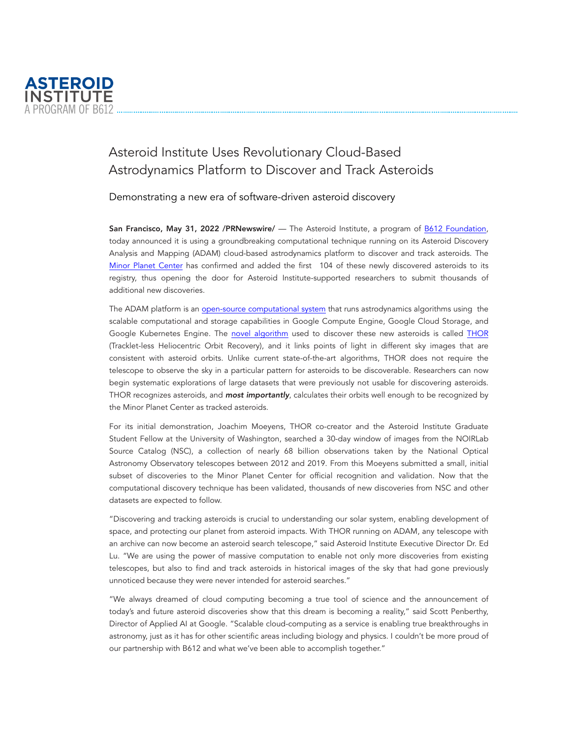

## Asteroid Institute Uses Revolutionary Cloud-Based Astrodynamics Platform to Discover and Track Asteroids

Demonstrating a new era of software-driven asteroid discovery

San Francisco, May 31, 2022 /PRNewswire/ - The Asteroid Institute, a program of [B612 Foundation,](https://b612foundation.org/) today announced it is using a groundbreaking computational technique running on its Asteroid Discovery Analysis and Mapping (ADAM) cloud-based astrodynamics platform to discover and track asteroids. The [Minor Planet Center](https://minorplanetcenter.net/) has confirmed and added the first 104 of these newly discovered asteroids to its registry, thus opening the door for Asteroid Institute-supported researchers to submit thousands of additional new discoveries.

The ADAM platform is an [open-source computational system](https://github.com/b612-Asteroid-Institute/) that runs astrodynamics algorithms using the scalable computational and storage capabilities in Google Compute Engine, Google Cloud Storage, and Google Kubernetes Engine. The [novel algorithm](https://ui.adsabs.harvard.edu/abs/2021AJ....162..143M/abstract) used to discover these new asteroids is called [THOR](https://github.com/moeyensj/thor) (Tracklet-less Heliocentric Orbit Recovery), and it links points of light in different sky images that are consistent with asteroid orbits. Unlike current state-of-the-art algorithms, THOR does not require the telescope to observe the sky in a particular pattern for asteroids to be discoverable. Researchers can now begin systematic explorations of large datasets that were previously not usable for discovering asteroids. THOR recognizes asteroids, and *most importantly*, calculates their orbits well enough to be recognized by the Minor Planet Center as tracked asteroids.

For its initial demonstration, Joachim Moeyens, THOR co-creator and the Asteroid Institute Graduate Student Fellow at the University of Washington, searched a 30-day window of images from the NOIRLab Source Catalog (NSC), a collection of nearly 68 billion observations taken by the National Optical Astronomy Observatory telescopes between 2012 and 2019. From this Moeyens submitted a small, initial subset of discoveries to the Minor Planet Center for official recognition and validation. Now that the computational discovery technique has been validated, thousands of new discoveries from NSC and other datasets are expected to follow.

"Discovering and tracking asteroids is crucial to understanding our solar system, enabling development of space, and protecting our planet from asteroid impacts. With THOR running on ADAM, any telescope with an archive can now become an asteroid search telescope," said Asteroid Institute Executive Director Dr. Ed Lu. "We are using the power of massive computation to enable not only more discoveries from existing telescopes, but also to find and track asteroids in historical images of the sky that had gone previously unnoticed because they were never intended for asteroid searches."

"We always dreamed of cloud computing becoming a true tool of science and the announcement of today's and future asteroid discoveries show that this dream is becoming a reality," said Scott Penberthy, Director of Applied AI at Google. "Scalable cloud-computing as a service is enabling true breakthroughs in astronomy, just as it has for other scientific areas including biology and physics. I couldn't be more proud of our partnership with B612 and what we've been able to accomplish together."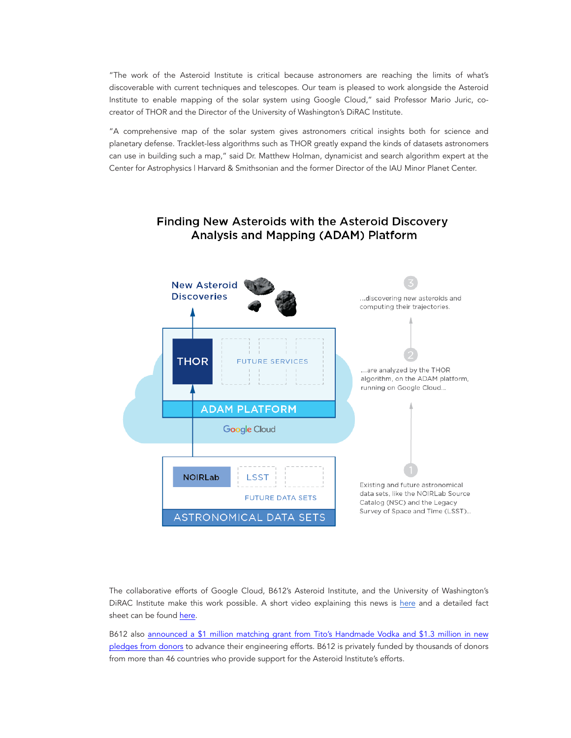"The work of the Asteroid Institute is critical because astronomers are reaching the limits of what's discoverable with current techniques and telescopes. Our team is pleased to work alongside the Asteroid Institute to enable mapping of the solar system using Google Cloud," said Professor Mario Juric, cocreator of THOR and the Director of the University of Washington's DiRAC Institute.

"A comprehensive map of the solar system gives astronomers critical insights both for science and planetary defense. Tracklet-less algorithms such as THOR greatly expand the kinds of datasets astronomers can use in building such a map," said Dr. Matthew Holman, dynamicist and search algorithm expert at the Center for Astrophysics | Harvard & Smithsonian and the former Director of the IAU Minor Planet Center.



## **Finding New Asteroids with the Asteroid Discovery** Analysis and Mapping (ADAM) Platform

The collaborative efforts of Google Cloud, B612's Asteroid Institute, and the University of Washington's DiRAC Institute make this work possible. A short video explaining this news is [here](https://youtu.be/_GNxx_1ZgWE) and a detailed fact sheet can be found [here](https://b612foundation.org/thor-on-adam-fact-sheet/).

B612 also [announced a \\$1 million matching grant from Tito's Handmade Vodka and \\$1.3 million in new](https://b612foundation.org/press-release-b612-foundation-announces-2-3-million-in-leadership-gifts/) [pledges from donors](https://b612foundation.org/press-release-b612-foundation-announces-2-3-million-in-leadership-gifts/) to advance their engineering efforts. B612 is privately funded by thousands of donors from more than 46 countries who provide support for the Asteroid Institute's efforts.